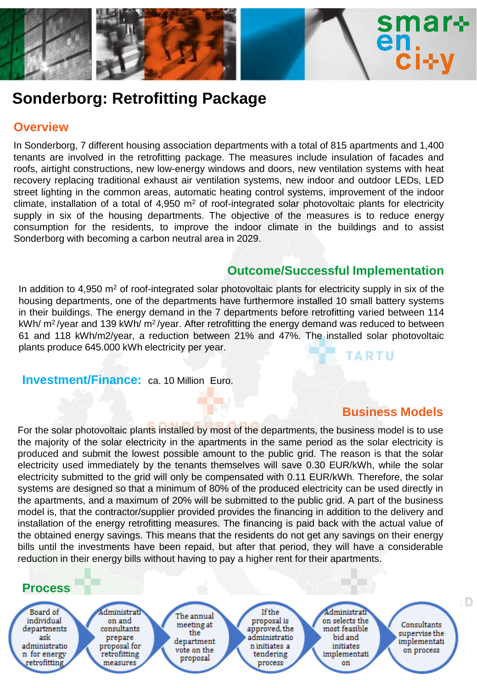

# **Sonderborg: Retrofitting Package**

### **Overview**

In Sonderborg, 7 different housing association departments with a total of 815 apartments and 1,400 tenants are involved in the retrofitting package. The measures include insulation of facades and roofs, airtight constructions, new low-energy windows and doors, new ventilation systems with heat recovery replacing traditional exhaust air ventilation systems, new indoor and outdoor LEDs, LED street lighting in the common areas, automatic heating control systems, improvement of the indoor climate, installation of a total of  $4.950 \text{ m}^2$  of roof-integrated solar photovoltaic plants for electricity supply in six of the housing departments. The objective of the measures is to reduce energy consumption for the residents, to improve the indoor climate in the buildings and to assist Sonderborg with becoming a carbon neutral area in 2029.

#### **Outcome/Successful Implementation**

In addition to 4,950  $m^2$  of roof-integrated solar photovoltaic plants for electricity supply in six of the housing departments, one of the departments have furthermore installed 10 small battery systems in their buildings. The energy demand in the 7 departments before retrofitting varied between 114 kWh/ m<sup>2</sup>/year and 139 kWh/ m<sup>2</sup>/year. After retrofitting the energy demand was reduced to between 61 and 118 kWh/m2/year, a reduction between 21% and 47%. The installed solar photovoltaic plants produce 645.000 kWh electricity per year. **TARTU** 

**Investment/Finance:** ca. 10 Million Euro.

# **Business Models**

For the solar photovoltaic plants installed by most of the departments, the business model is to use the majority of the solar electricity in the apartments in the same period as the solar electricity is produced and submit the lowest possible amount to the public grid. The reason is that the solar electricity used immediately by the tenants themselves will save 0.30 EUR/kWh, while the solar electricity submitted to the grid will only be compensated with 0.11 EUR/kWh. Therefore, the solar systems are designed so that a minimum of 80% of the produced electricity can be used directly in the apartments, and a maximum of 20% will be submitted to the public grid. A part of the business model is, that the contractor/supplier provided provides the financing in addition to the delivery and installation of the energy retrofitting measures. The financing is paid back with the actual value of the obtained energy savings. This means that the residents do not get any savings on their energy bills until the investments have been repaid, but after that period, they will have a considerable reduction in their energy bills without having to pay a higher rent for their apartments.